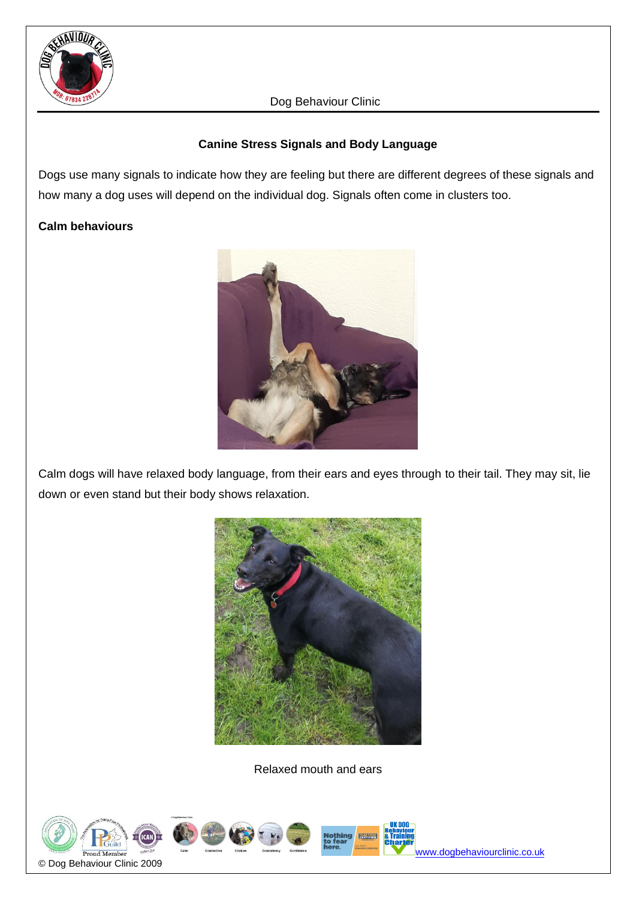

# **Canine Stress Signals and Body Language**

Dogs use many signals to indicate how they are feeling but there are different degrees of these signals and how many a dog uses will depend on the individual dog. Signals often come in clusters too.

# **Calm behaviours**



Calm dogs will have relaxed body language, from their ears and eyes through to their tail. They may sit, lie down or even stand but their body shows relaxation.



Relaxed mouth and ears

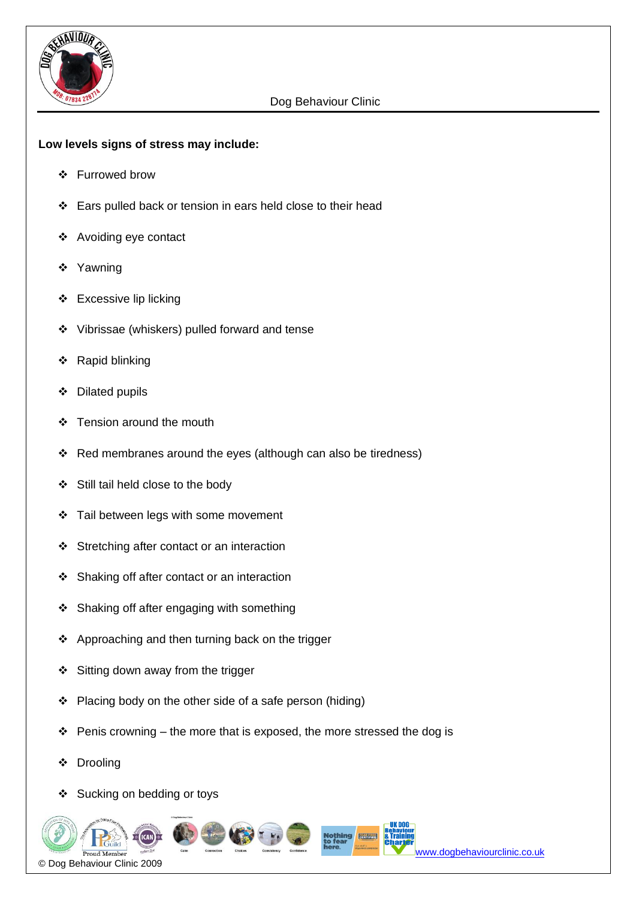

### **Low levels signs of stress may include:**

- ❖ Furrowed brow
- ❖ Ears pulled back or tension in ears held close to their head
- ❖ Avoiding eye contact
- ❖ Yawning
- ❖ Excessive lip licking
- ❖ Vibrissae (whiskers) pulled forward and tense
- ❖ Rapid blinking
- ❖ Dilated pupils
- ❖ Tension around the mouth
- ❖ Red membranes around the eyes (although can also be tiredness)
- ❖ Still tail held close to the body
- ❖ Tail between legs with some movement
- ❖ Stretching after contact or an interaction
- ❖ Shaking off after contact or an interaction
- ❖ Shaking off after engaging with something
- ❖ Approaching and then turning back on the trigger
- ❖ Sitting down away from the trigger
- ❖ Placing body on the other side of a safe person (hiding)
- $\div$  Penis crowning the more that is exposed, the more stressed the dog is
- ❖ Drooling
- ❖ Sucking on bedding or toys

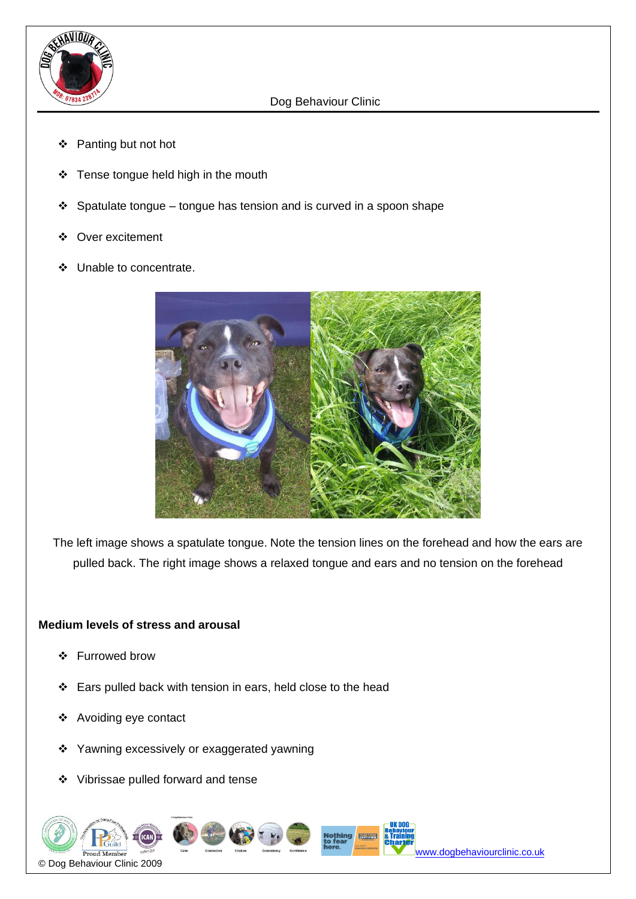

- ❖ Panting but not hot
- ❖ Tense tongue held high in the mouth
- ❖ Spatulate tongue tongue has tension and is curved in a spoon shape
- ❖ Over excitement
- ❖ Unable to concentrate.



The left image shows a spatulate tongue. Note the tension lines on the forehead and how the ears are pulled back. The right image shows a relaxed tongue and ears and no tension on the forehead

### **Medium levels of stress and arousal**

- ❖ Furrowed brow
- ❖ Ears pulled back with tension in ears, held close to the head
- ❖ Avoiding eye contact
- ❖ Yawning excessively or exaggerated yawning
- ❖ Vibrissae pulled forward and tense



[www.dogbehaviourclinic.co.uk](http://www.dogbehaviourclinic.co.uk/)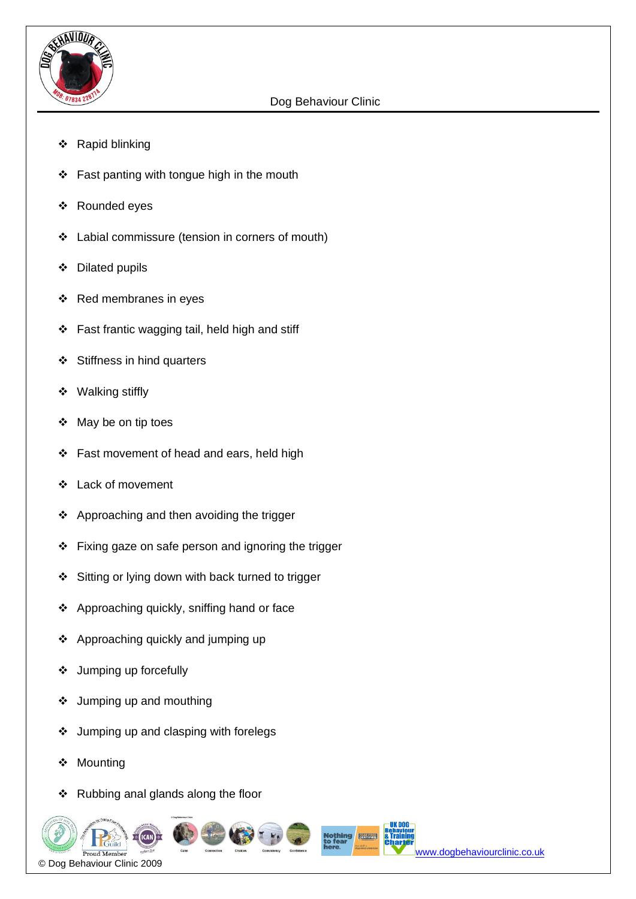

- ❖ Rapid blinking
- ❖ Fast panting with tongue high in the mouth
- ❖ Rounded eyes
- ❖ Labial commissure (tension in corners of mouth)
- ❖ Dilated pupils
- ❖ Red membranes in eyes
- ❖ Fast frantic wagging tail, held high and stiff
- ❖ Stiffness in hind quarters
- ❖ Walking stiffly
- ❖ May be on tip toes
- ❖ Fast movement of head and ears, held high
- ❖ Lack of movement
- ❖ Approaching and then avoiding the trigger
- ❖ Fixing gaze on safe person and ignoring the trigger
- ❖ Sitting or lying down with back turned to trigger
- ❖ Approaching quickly, sniffing hand or face
- ❖ Approaching quickly and jumping up
- ❖ Jumping up forcefully
- ❖ Jumping up and mouthing
- ❖ Jumping up and clasping with forelegs
- ❖ Mounting
- ❖ Rubbing anal glands along the floor

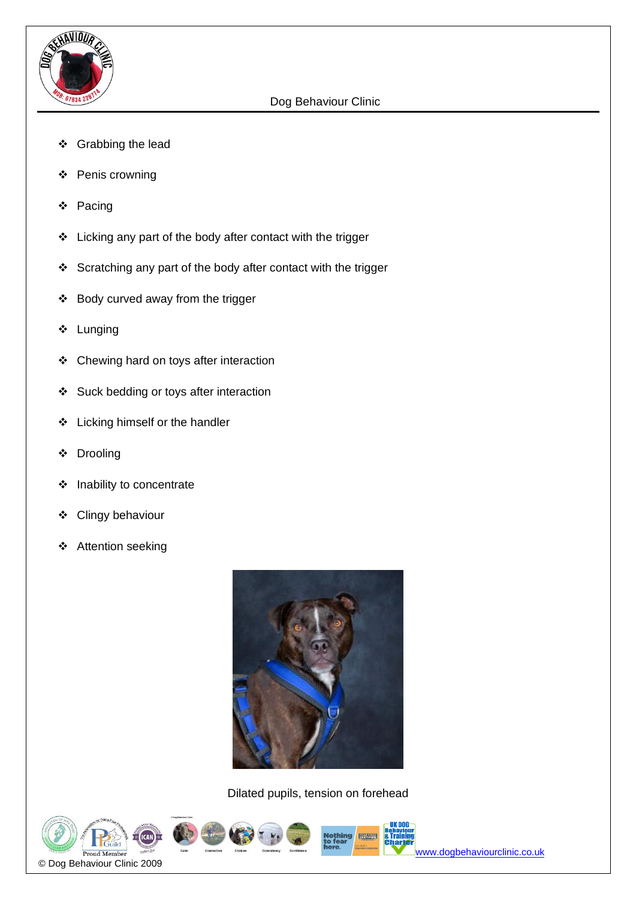

- ❖ Grabbing the lead
- ❖ Penis crowning
- ❖ Pacing
- ❖ Licking any part of the body after contact with the trigger
- ❖ Scratching any part of the body after contact with the trigger
- ❖ Body curved away from the trigger
- ❖ Lunging
- ❖ Chewing hard on toys after interaction
- ❖ Suck bedding or toys after interaction
- ❖ Licking himself or the handler
- ❖ Drooling
- ❖ Inability to concentrate
- ❖ Clingy behaviour
- ❖ Attention seeking



Dilated pupils, tension on forehead





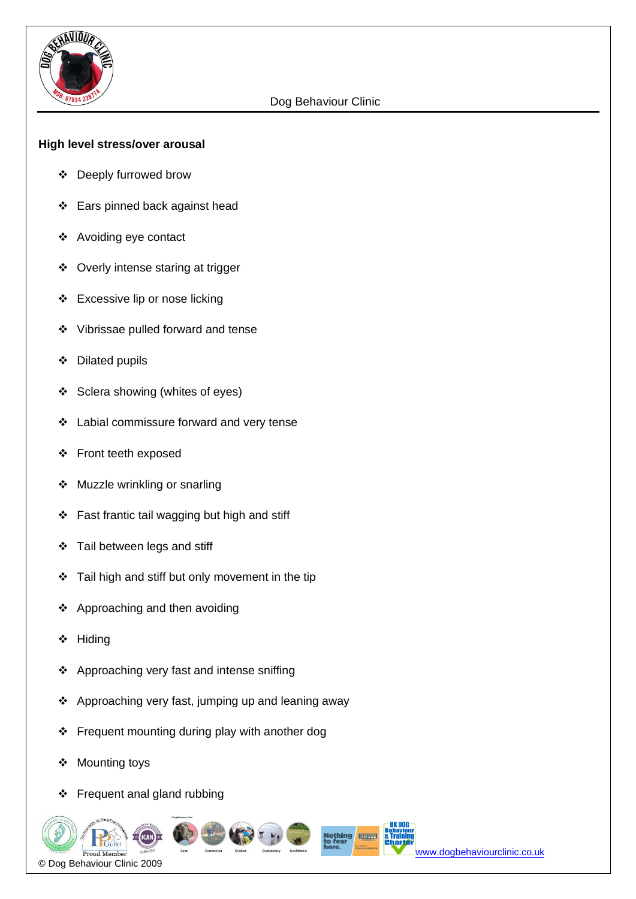

#### **High level stress/over arousal**

- ❖ Deeply furrowed brow
- ❖ Ears pinned back against head
- ❖ Avoiding eye contact
- ❖ Overly intense staring at trigger
- ❖ Excessive lip or nose licking
- ❖ Vibrissae pulled forward and tense
- ❖ Dilated pupils
- ❖ Sclera showing (whites of eyes)
- ❖ Labial commissure forward and very tense
- ❖ Front teeth exposed
- ❖ Muzzle wrinkling or snarling
- ❖ Fast frantic tail wagging but high and stiff
- ❖ Tail between legs and stiff
- ❖ Tail high and stiff but only movement in the tip
- ❖ Approaching and then avoiding
- ❖ Hiding
- ❖ Approaching very fast and intense sniffing
- ❖ Approaching very fast, jumping up and leaning away
- ❖ Frequent mounting during play with another dog
- ❖ Mounting toys
- ❖ Frequent anal gland rubbing

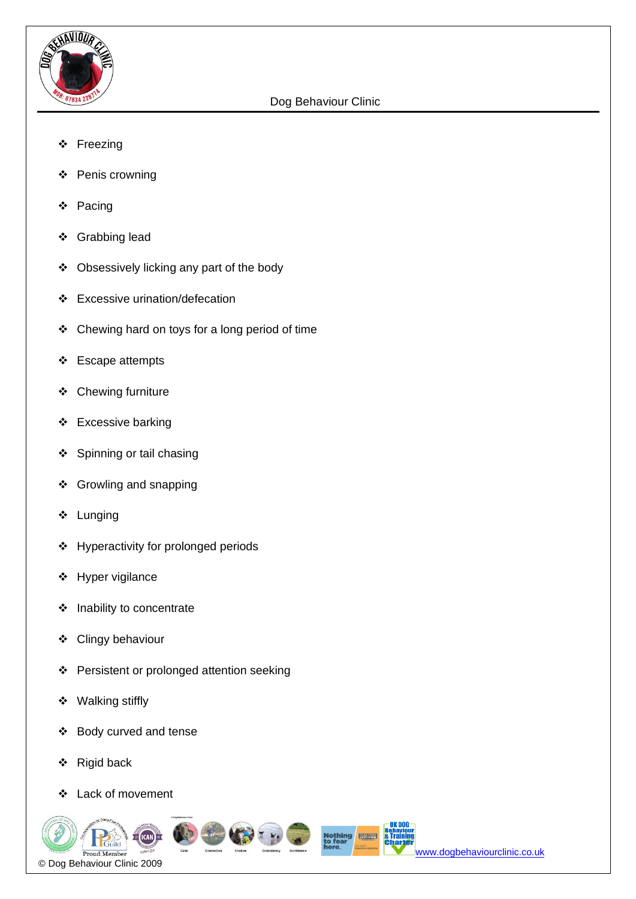

- ❖ Freezing
- ❖ Penis crowning
- ❖ Pacing
- ❖ Grabbing lead
- ❖ Obsessively licking any part of the body
- ❖ Excessive urination/defecation
- ❖ Chewing hard on toys for a long period of time
- ❖ Escape attempts
- ❖ Chewing furniture
- ❖ Excessive barking
- ❖ Spinning or tail chasing
- ❖ Growling and snapping
- ❖ Lunging
- ❖ Hyperactivity for prolonged periods
- ❖ Hyper vigilance
- ❖ Inability to concentrate
- ❖ Clingy behaviour
- ❖ Persistent or prolonged attention seeking
- ❖ Walking stiffly
- ❖ Body curved and tense
- ❖ Rigid back
- ❖ Lack of movement

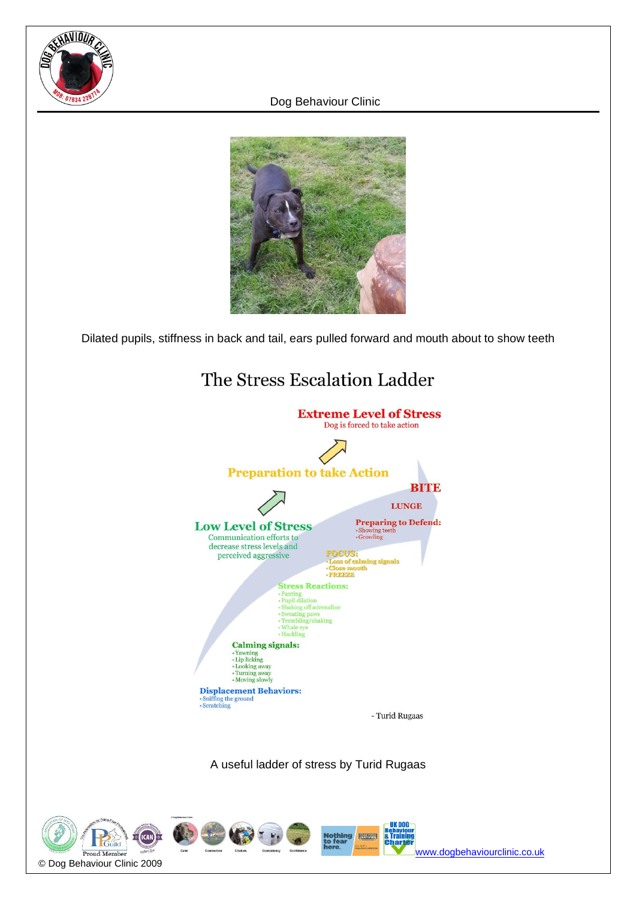



Dilated pupils, stiffness in back and tail, ears pulled forward and mouth about to show teeth



A useful ladder of stress by Turid Rugaas



[www.dogbehaviourclinic.co.uk](http://www.dogbehaviourclinic.co.uk/)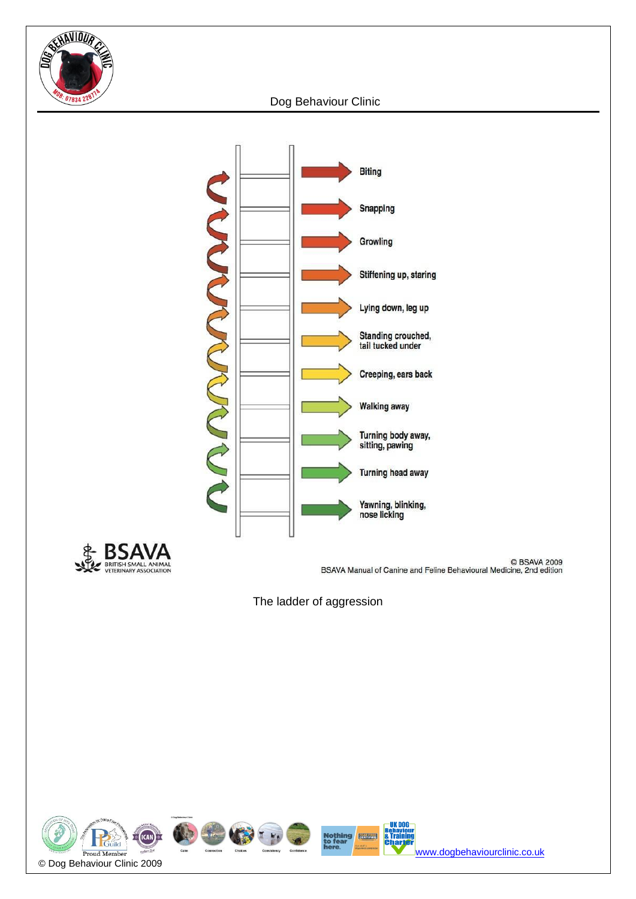





BSAVA 2009<br>BSAVA Manual of Canine and Feline Behavioural Medicine, 2nd edition

The ladder of aggression